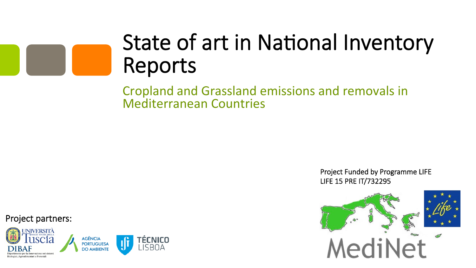# State of art in National Inventory Reports

Cropland and Grassland emissions and removals in Mediterranean Countries 

> Project Funded by Programme LIFE LIFE 15 PRE IT/732295



Project partners:

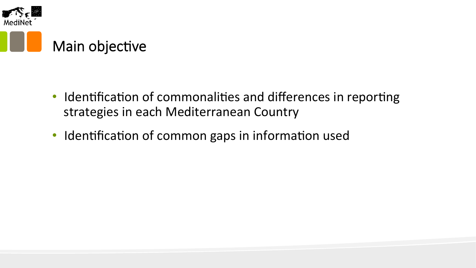

- Identification of commonalities and differences in reporting strategies in each Mediterranean Country
- Identification of common gaps in information used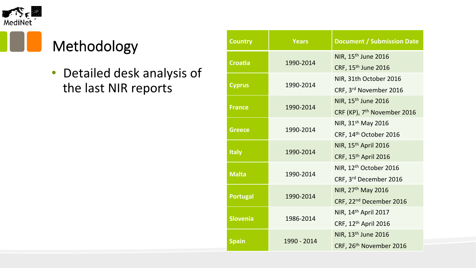

# Methodology

• Detailed desk analysis of the last NIR reports

| <b>Country</b>  | <b>Years</b> | <b>Document / Submission Date</b>       |  |
|-----------------|--------------|-----------------------------------------|--|
| <b>Croatia</b>  | 1990-2014    | NIR, 15 <sup>th</sup> June 2016         |  |
|                 |              | CRF, 15 <sup>th</sup> June 2016         |  |
| <b>Cyprus</b>   | 1990-2014    | NIR, 31th October 2016                  |  |
|                 |              | CRF, 3rd November 2016                  |  |
|                 |              | NIR, 15 <sup>th</sup> June 2016         |  |
| <b>France</b>   | 1990-2014    | CRF (KP), 7 <sup>th</sup> November 2016 |  |
| <b>Greece</b>   | 1990-2014    | NIR, 31sh May 2016                      |  |
|                 |              | CRF, 14th October 2016                  |  |
|                 | 1990-2014    | NIR, 15th April 2016                    |  |
| <b>Italy</b>    |              | CRF, 15 <sup>th</sup> April 2016        |  |
|                 |              | NIR, 12 <sup>th</sup> October 2016      |  |
| <b>Malta</b>    | 1990-2014    | CRF, 3rd December 2016                  |  |
| <b>Portugal</b> | 1990-2014    | NIR, 27 <sup>th</sup> May 2016          |  |
|                 |              | CRF, 22 <sup>nd</sup> December 2016     |  |
|                 | 1986-2014    | NIR, 14 <sup>th</sup> April 2017        |  |
| <b>Slovenia</b> |              | CRF, 12th April 2016                    |  |
|                 | 1990 - 2014  | NIR, 13th June 2016                     |  |
| <b>Spain</b>    |              | CRF, 26 <sup>th</sup> November 2016     |  |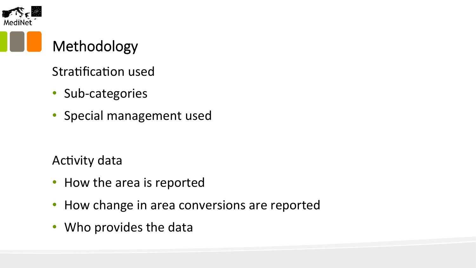

### Methodology

#### Stratification used

- Sub-categories
- Special management used

#### **Activity data**

- How the area is reported
- How change in area conversions are reported
- Who provides the data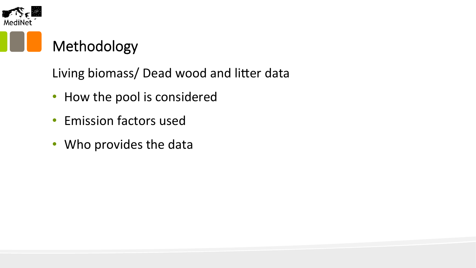

# Methodology

Living biomass/ Dead wood and litter data

- How the pool is considered
- Emission factors used
- Who provides the data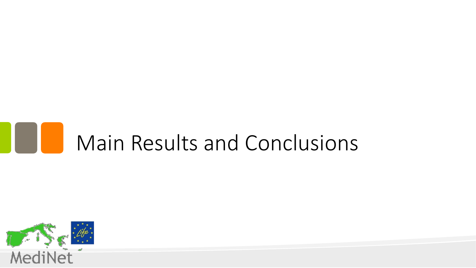# **Main Results and Conclusions**

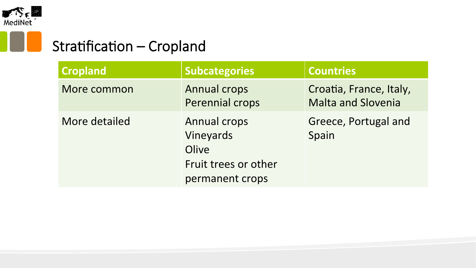

I.

# Stratification – Cropland

| <b>Cropland</b> | <b>Subcategories</b>                                                                 | <b>Countries</b>                                     |
|-----------------|--------------------------------------------------------------------------------------|------------------------------------------------------|
| More common     | <b>Annual crops</b><br>Perennial crops                                               | Croatia, France, Italy,<br><b>Malta and Slovenia</b> |
| More detailed   | <b>Annual crops</b><br>Vineyards<br>Olive<br>Fruit trees or other<br>permanent crops | Greece, Portugal and<br>Spain                        |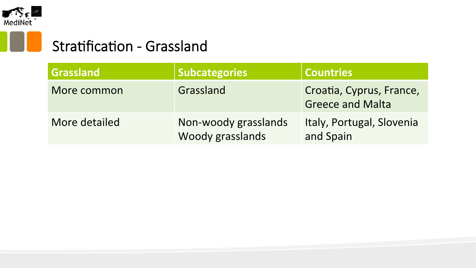

n l

### Stratification - Grassland

| Grassland     | <b>Subcategories</b>                     | <b>Countries</b>                                    |
|---------------|------------------------------------------|-----------------------------------------------------|
| More common   | Grassland                                | Croatia, Cyprus, France,<br><b>Greece and Malta</b> |
| More detailed | Non-woody grasslands<br>Woody grasslands | Italy, Portugal, Slovenia<br>and Spain              |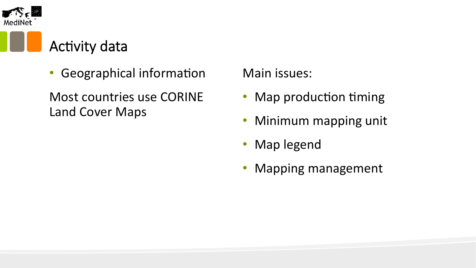

# **Activity data**

Geographical information

Most countries use CORINE Land Cover Maps

Main issues:

- Map production timing
- Minimum mapping unit
- Map legend
- Mapping management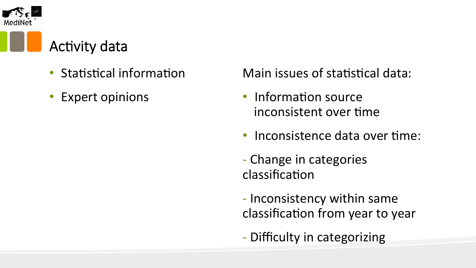

# **Activity data**

- **Statistical information**
- **Expert opinions**

Main issues of statistical data:

- Information source inconsistent over time
- Inconsistence data over time:
- Change in categories classification
- Inconsistency within same classification from year to year
- Difficulty in categorizing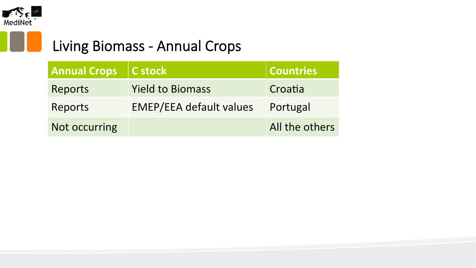

#### Living Biomass - Annual Crops

| <b>Annual Crops</b> | $\vert$ C stock                | <b>Countries</b> |
|---------------------|--------------------------------|------------------|
| Reports             | <b>Yield to Biomass</b>        | Croatia          |
| Reports             | <b>EMEP/EEA default values</b> | Portugal         |
| Not occurring       |                                | All the others   |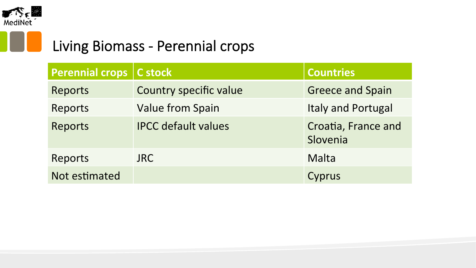

#### Living Biomass - Perennial crops

| Perennial crops   C stock |                            | <b>Countries</b>                |
|---------------------------|----------------------------|---------------------------------|
| <b>Reports</b>            | Country specific value     | <b>Greece and Spain</b>         |
| Reports                   | <b>Value from Spain</b>    | <b>Italy and Portugal</b>       |
| <b>Reports</b>            | <b>IPCC</b> default values | Croatia, France and<br>Slovenia |
| Reports                   | <b>JRC</b>                 | Malta                           |
| Not estimated             |                            | Cyprus                          |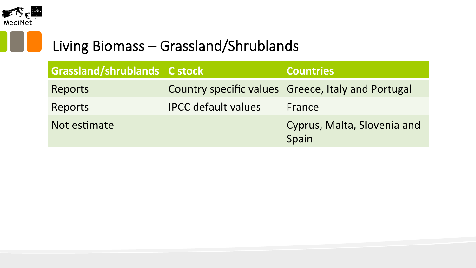

#### Living Biomass – Grassland/Shrublands

| Grassland/shrublands   C stock |                            | <b>Countries</b>                                   |
|--------------------------------|----------------------------|----------------------------------------------------|
| Reports                        |                            | Country specific values Greece, Italy and Portugal |
| Reports                        | <b>IPCC</b> default values | France                                             |
| Not estimate                   |                            | Cyprus, Malta, Slovenia and<br>Spain               |